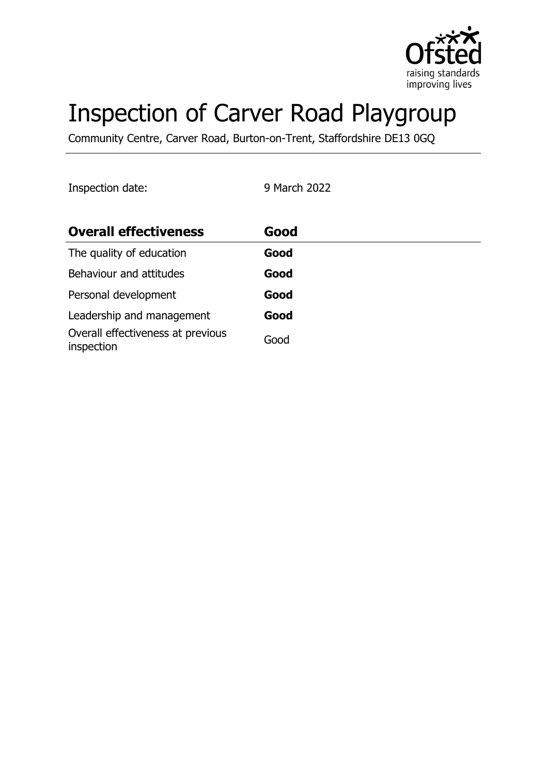

# Inspection of Carver Road Playgroup

Community Centre, Carver Road, Burton-on-Trent, Staffordshire DE13 0GQ

Inspection date: 9 March 2022

| <b>Overall effectiveness</b>                    | Good |
|-------------------------------------------------|------|
| The quality of education                        | Good |
| Behaviour and attitudes                         | Good |
| Personal development                            | Good |
| Leadership and management                       | Good |
| Overall effectiveness at previous<br>inspection | Good |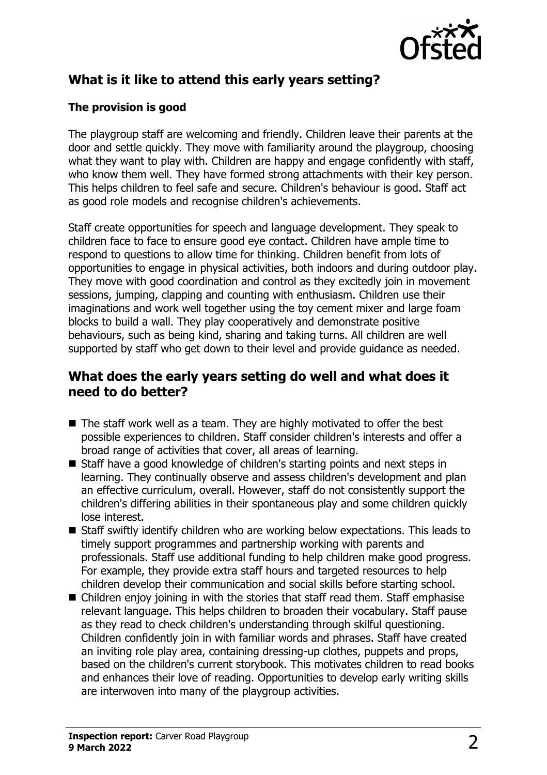

# **What is it like to attend this early years setting?**

### **The provision is good**

The playgroup staff are welcoming and friendly. Children leave their parents at the door and settle quickly. They move with familiarity around the playgroup, choosing what they want to play with. Children are happy and engage confidently with staff, who know them well. They have formed strong attachments with their key person. This helps children to feel safe and secure. Children's behaviour is good. Staff act as good role models and recognise children's achievements.

Staff create opportunities for speech and language development. They speak to children face to face to ensure good eye contact. Children have ample time to respond to questions to allow time for thinking. Children benefit from lots of opportunities to engage in physical activities, both indoors and during outdoor play. They move with good coordination and control as they excitedly join in movement sessions, jumping, clapping and counting with enthusiasm. Children use their imaginations and work well together using the toy cement mixer and large foam blocks to build a wall. They play cooperatively and demonstrate positive behaviours, such as being kind, sharing and taking turns. All children are well supported by staff who get down to their level and provide guidance as needed.

# **What does the early years setting do well and what does it need to do better?**

- $\blacksquare$  The staff work well as a team. They are highly motivated to offer the best possible experiences to children. Staff consider children's interests and offer a broad range of activities that cover, all areas of learning.
- Staff have a good knowledge of children's starting points and next steps in learning. They continually observe and assess children's development and plan an effective curriculum, overall. However, staff do not consistently support the children's differing abilities in their spontaneous play and some children quickly lose interest.
- $\blacksquare$  Staff swiftly identify children who are working below expectations. This leads to timely support programmes and partnership working with parents and professionals. Staff use additional funding to help children make good progress. For example, they provide extra staff hours and targeted resources to help children develop their communication and social skills before starting school.
- $\blacksquare$  Children enjoy joining in with the stories that staff read them. Staff emphasise relevant language. This helps children to broaden their vocabulary. Staff pause as they read to check children's understanding through skilful questioning. Children confidently join in with familiar words and phrases. Staff have created an inviting role play area, containing dressing-up clothes, puppets and props, based on the children's current storybook. This motivates children to read books and enhances their love of reading. Opportunities to develop early writing skills are interwoven into many of the playgroup activities.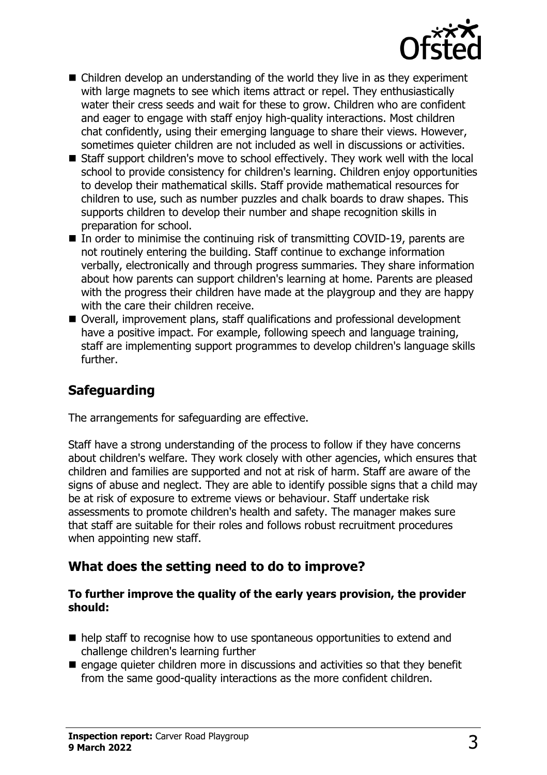

- $\blacksquare$  Children develop an understanding of the world they live in as they experiment with large magnets to see which items attract or repel. They enthusiastically water their cress seeds and wait for these to grow. Children who are confident and eager to engage with staff enjoy high-quality interactions. Most children chat confidently, using their emerging language to share their views. However, sometimes quieter children are not included as well in discussions or activities.
- Staff support children's move to school effectively. They work well with the local school to provide consistency for children's learning. Children enjoy opportunities to develop their mathematical skills. Staff provide mathematical resources for children to use, such as number puzzles and chalk boards to draw shapes. This supports children to develop their number and shape recognition skills in preparation for school.
- $\blacksquare$  In order to minimise the continuing risk of transmitting COVID-19, parents are not routinely entering the building. Staff continue to exchange information verbally, electronically and through progress summaries. They share information about how parents can support children's learning at home. Parents are pleased with the progress their children have made at the playgroup and they are happy with the care their children receive.
- Overall, improvement plans, staff qualifications and professional development have a positive impact. For example, following speech and language training, staff are implementing support programmes to develop children's language skills further.

# **Safeguarding**

The arrangements for safeguarding are effective.

Staff have a strong understanding of the process to follow if they have concerns about children's welfare. They work closely with other agencies, which ensures that children and families are supported and not at risk of harm. Staff are aware of the signs of abuse and neglect. They are able to identify possible signs that a child may be at risk of exposure to extreme views or behaviour. Staff undertake risk assessments to promote children's health and safety. The manager makes sure that staff are suitable for their roles and follows robust recruitment procedures when appointing new staff.

# **What does the setting need to do to improve?**

#### **To further improve the quality of the early years provision, the provider should:**

- $\blacksquare$  help staff to recognise how to use spontaneous opportunities to extend and challenge children's learning further
- $\blacksquare$  engage quieter children more in discussions and activities so that they benefit from the same good-quality interactions as the more confident children.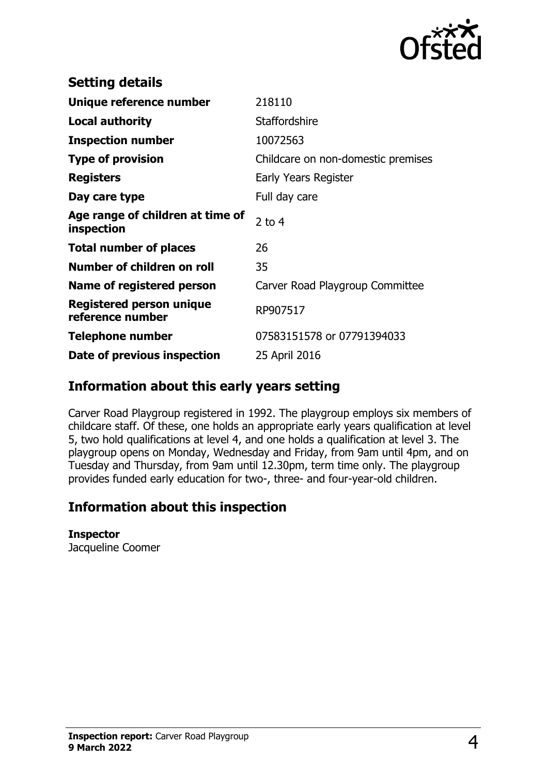

| <b>Setting details</b>                         |                                    |
|------------------------------------------------|------------------------------------|
| Unique reference number                        | 218110                             |
| <b>Local authority</b>                         | <b>Staffordshire</b>               |
| <b>Inspection number</b>                       | 10072563                           |
| <b>Type of provision</b>                       | Childcare on non-domestic premises |
| <b>Registers</b>                               | Early Years Register               |
| Day care type                                  | Full day care                      |
| Age range of children at time of<br>inspection | $2$ to 4                           |
| <b>Total number of places</b>                  | 26                                 |
| Number of children on roll                     | 35                                 |
| Name of registered person                      | Carver Road Playgroup Committee    |
| Registered person unique<br>reference number   | RP907517                           |
| <b>Telephone number</b>                        | 07583151578 or 07791394033         |
| Date of previous inspection                    | 25 April 2016                      |

## **Information about this early years setting**

Carver Road Playgroup registered in 1992. The playgroup employs six members of childcare staff. Of these, one holds an appropriate early years qualification at level 5, two hold qualifications at level 4, and one holds a qualification at level 3. The playgroup opens on Monday, Wednesday and Friday, from 9am until 4pm, and on Tuesday and Thursday, from 9am until 12.30pm, term time only. The playgroup provides funded early education for two-, three- and four-year-old children.

# **Information about this inspection**

#### **Inspector**

Jacqueline Coomer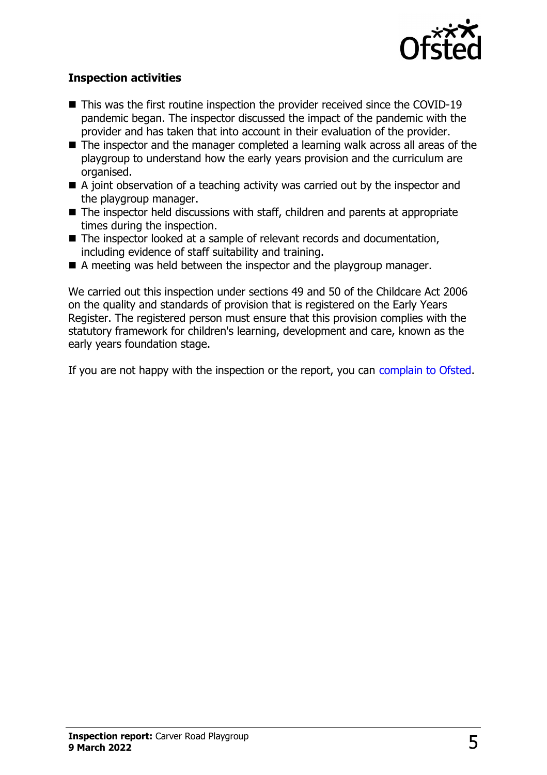

#### **Inspection activities**

- $\blacksquare$  This was the first routine inspection the provider received since the COVID-19 pandemic began. The inspector discussed the impact of the pandemic with the provider and has taken that into account in their evaluation of the provider.
- $\blacksquare$  The inspector and the manager completed a learning walk across all areas of the playgroup to understand how the early years provision and the curriculum are organised.
- $\blacksquare$  A joint observation of a teaching activity was carried out by the inspector and the playgroup manager.
- $\blacksquare$  The inspector held discussions with staff, children and parents at appropriate times during the inspection.
- The inspector looked at a sample of relevant records and documentation, including evidence of staff suitability and training.
- $\blacksquare$  A meeting was held between the inspector and the playgroup manager.

We carried out this inspection under sections 49 and 50 of the Childcare Act 2006 on the quality and standards of provision that is registered on the Early Years Register. The registered person must ensure that this provision complies with the statutory framework for children's learning, development and care, known as the early years foundation stage.

If you are not happy with the inspection or the report, you can [complain to Ofsted](http://www.gov.uk/complain-ofsted-report).